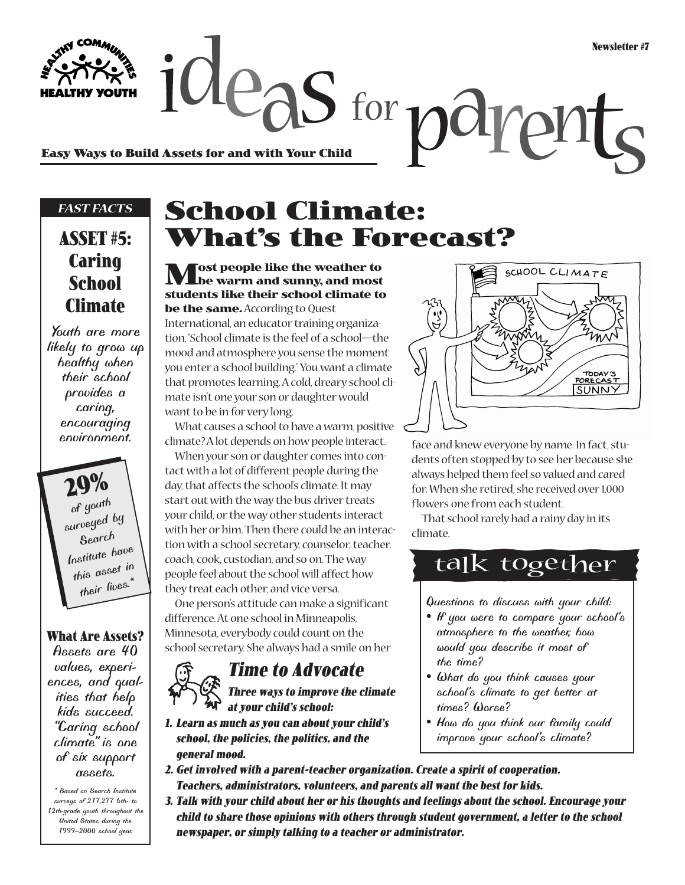**Easy Ways to Build Assets for and with Your Child**

#### *FAST FACTS*

### **ASSET #5: Caring School Climate**

*Youth are more likely to grow up healthy when their school provides a caring, encouraging environment.*

**29%** *of youth surveyed by Search Institute have this asset in their lives.\**

#### **What Are Assets?**

*Assets are 40 values, experiences, and qualities that help kids succeed. "Caring school climate" is one of six support assets.*

*\* Based on Search Institute surveys of 217,277 6th- to 12th-grade youth throughout the United States during the 1999–2000 school year.*

# **School Climate: What's the Forecast?**

 $\alpha$  deas for  $p$  di

**Most people like the weather to be warm and sunny, and most students like their school climate to be the same.**According to Quest

International, an educator training organization, "School climate is the feel of a school—the mood and atmosphere you sense the moment you enter a school building." You want a climate that promotes learning. A cold, dreary school climate isn't one your son or daughter would want to be in for very long.

What causes a school to have a warm, positive climate? A lot depends on how people interact.

When your son or daughter comes into contact with a lot of different people during the day, that affects the school's climate. It may start out with the way the bus driver treats your child, or the way other students interact with her or him. Then there could be an interaction with a school secretary, counselor, teacher, coach, cook, custodian, and so on. The way people feel about the school will affect how they treat each other, and vice versa.

One person's attitude can make a significant difference. At one school in Minneapolis, Minnesota, everybody could count on the school secretary. She always had a smile on her



### **Time to Advocate**



- **1. Learn as much as you can about your child's school, the policies, the politics, and the general mood.**
- **2. Get involved with a parent-teacher organization. Create a spirit of cooperation. Teachers, administrators, volunteers, and parents all want the best for kids.**
- **3. Talk with your child about her or his thoughts and feelings about the school. Encourage your child to share those opinions with others through student government, a letter to the school newspaper, or simply talking to a teacher or administrator.**



ph

face and knew everyone by name. In fact, students often stopped by to see her because she always helped them feel so valued and cared for. When she retired, she received over 1,000 flowers one from each student.

That school rarely had a rainy day in its climate.

## talk together

*Questions to discuss with your child:*

- *If you were to compare your school's atmosphere to the weather, how would you describe it most of the time?*
- *What do you think causes your school's climate to get better at times? Worse?*
- *How do you think our family could improve your school's climate?*